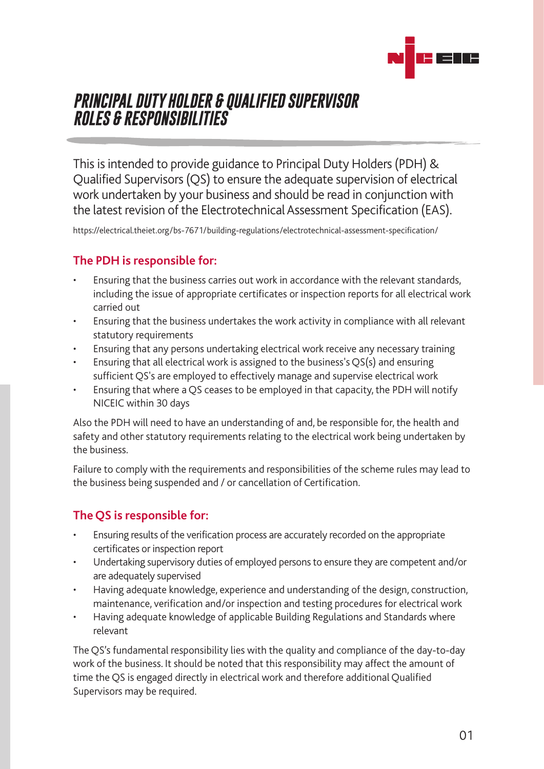

# *PRINCIPAL DUTY HOLDER & QUALIFIED SUPERVISOR ROLES & RESPONSIBILITIES*

This is intended to provide guidance to Principal Duty Holders (PDH) & Qualified Supervisors (QS) to ensure the adequate supervision of electrical work undertaken by your business and should be read in conjunction with the latest revision of the Electrotechnical Assessment Specification (EAS).

<https://electrical.theiet.org/bs-7671/building-regulations/electrotechnical-assessment-specification/>

## **The PDH is responsible for:**

- Ensuring that the business carries out work in accordance with the relevant standards, including the issue of appropriate certificates or inspection reports for all electrical work carried out
- Ensuring that the business undertakes the work activity in compliance with all relevant statutory requirements
- Ensuring that any persons undertaking electrical work receive any necessary training
- Ensuring that all electrical work is assigned to the business's QS(s) and ensuring sufficient QS's are employed to effectively manage and supervise electrical work
- Ensuring that where a QS ceases to be employed in that capacity, the PDH will notify NICEIC within 30 days

Also the PDH will need to have an understanding of and, be responsible for, the health and safety and other statutory requirements relating to the electrical work being undertaken by the business.

Failure to comply with the requirements and responsibilities of the scheme rules may lead to the business being suspended and / or cancellation of Certification.

# **The QS is responsible for:**

- Ensuring results of the verification process are accurately recorded on the appropriate certificates or inspection report
- Undertaking supervisory duties of employed persons to ensure they are competent and/or are adequately supervised
- Having adequate knowledge, experience and understanding of the design, construction, maintenance, verification and/or inspection and testing procedures for electrical work
- Having adequate knowledge of applicable Building Regulations and Standards where relevant

The QS's fundamental responsibility lies with the quality and compliance of the day-to-day work of the business. It should be noted that this responsibility may affect the amount of time the QS is engaged directly in electrical work and therefore additional Qualified Supervisors may be required.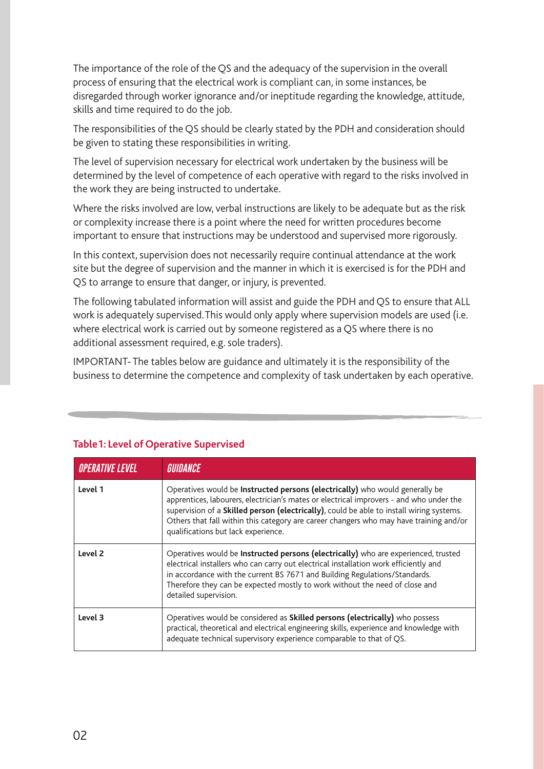The importance of the role of the QS and the adequacy of the supervision in the overall process of ensuring that the electrical work is compliant can, in some instances, be disregarded through worker ignorance and/or ineptitude regarding the knowledge, attitude, skills and time required to do the job.

The responsibilities of the QS should be clearly stated by the PDH and consideration should be given to stating these responsibilities in writing.

The level of supervision necessary for electrical work undertaken by the business will be determined by the level of competence of each operative with regard to the risks involved in the work they are being instructed to undertake.

Where the risks involved are low, verbal instructions are likely to be adequate but as the risk or complexity increase there is a point where the need for written procedures become important to ensure that instructions may be understood and supervised more rigorously.

In this context, supervision does not necessarily require continual attendance at the work site but the degree of supervision and the manner in which it is exercised is for the PDH and QS to arrange to ensure that danger, or injury, is prevented.

The following tabulated information will assist and guide the PDH and QS to ensure that ALL work is adequately supervised. This would only apply where supervision models are used (i.e. where electrical work is carried out by someone registered as a QS where there is no additional assessment required, e.g. sole traders).

IMPORTANT- The tables below are guidance and ultimately it is the responsibility of the business to determine the competence and complexity of task undertaken by each operative.

| <b>OPERATIVE LEVEL</b> | GUIDANCE                                                                                                                                                                                                                                                                                                                                                                                             |
|------------------------|------------------------------------------------------------------------------------------------------------------------------------------------------------------------------------------------------------------------------------------------------------------------------------------------------------------------------------------------------------------------------------------------------|
| Level 1                | Operatives would be Instructed persons (electrically) who would generally be<br>apprentices, labourers, electrician's mates or electrical improvers - and who under the<br>supervision of a Skilled person (electrically), could be able to install wiring systems.<br>Others that fall within this category are career changers who may have training and/or<br>qualifications but lack experience. |
| Level 2                | Operatives would be Instructed persons (electrically) who are experienced, trusted<br>electrical installers who can carry out electrical installation work efficiently and<br>in accordance with the current BS 7671 and Building Regulations/Standards.<br>Therefore they can be expected mostly to work without the need of close and<br>detailed supervision.                                     |
| Level 3                | Operatives would be considered as <b>Skilled persons (electrically)</b> who possess<br>practical, theoretical and electrical engineering skills, experience and knowledge with<br>adequate technical supervisory experience comparable to that of QS.                                                                                                                                                |

### **Table1: Level of Operative Supervised**